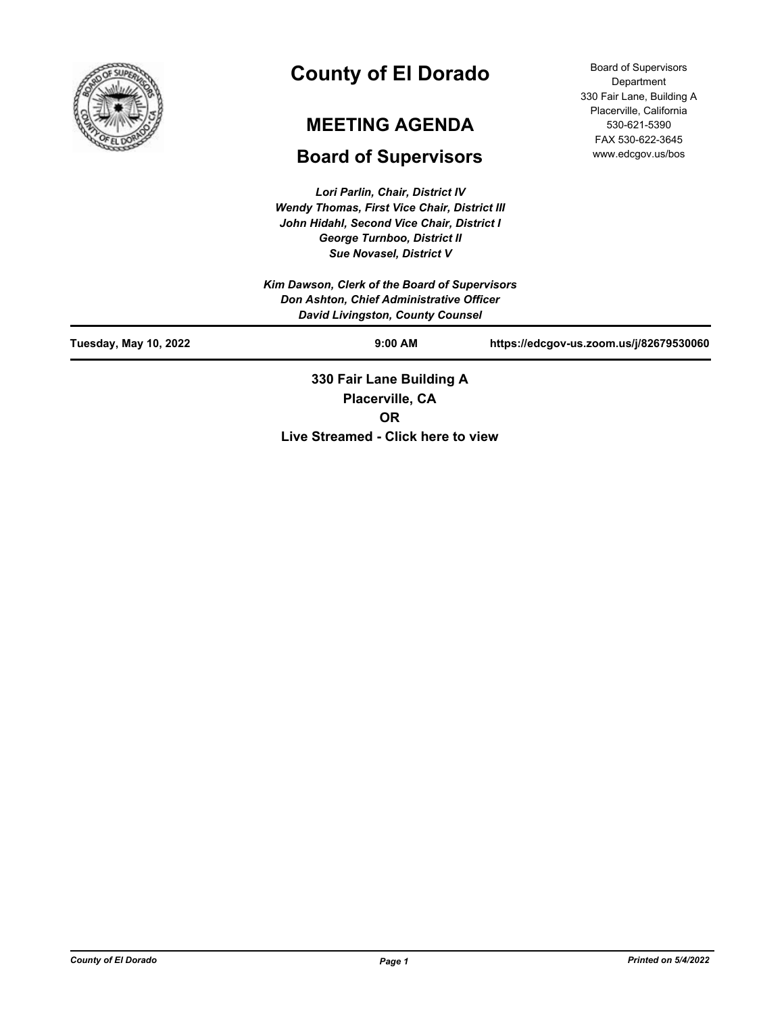

# **County of El Dorado**

# **MEETING AGENDA**

# **Board of Supervisors**

*Lori Parlin, Chair, District IV Wendy Thomas, First Vice Chair, District III John Hidahl, Second Vice Chair, District I George Turnboo, District II Sue Novasel, District V*

Board of Supervisors Department 330 Fair Lane, Building A Placerville, California 530-621-5390 FAX 530-622-3645 www.edcgov.us/bos

|                                                                                     | 330 Fair Lane Building A                      |                                         |  |  |
|-------------------------------------------------------------------------------------|-----------------------------------------------|-----------------------------------------|--|--|
| <b>Tuesday, May 10, 2022</b>                                                        | $9:00$ AM                                     | https://edcgov-us.zoom.us/j/82679530060 |  |  |
| Don Ashton, Chief Administrative Officer<br><b>David Livingston, County Counsel</b> |                                               |                                         |  |  |
|                                                                                     | Kim Dawson, Clerk of the Board of Supervisors |                                         |  |  |

**Placerville, CA OR Live Streamed - Click here to view**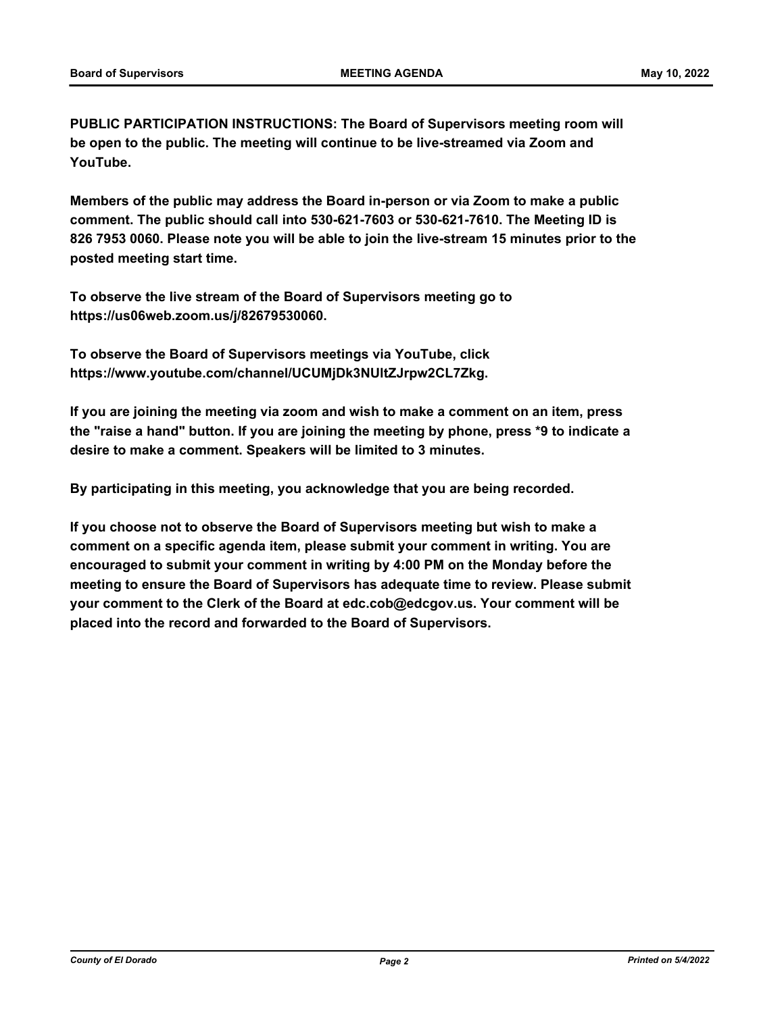**PUBLIC PARTICIPATION INSTRUCTIONS: The Board of Supervisors meeting room will be open to the public. The meeting will continue to be live-streamed via Zoom and YouTube.**

**Members of the public may address the Board in-person or via Zoom to make a public comment. The public should call into 530-621-7603 or 530-621-7610. The Meeting ID is 826 7953 0060. Please note you will be able to join the live-stream 15 minutes prior to the posted meeting start time.**

**To observe the live stream of the Board of Supervisors meeting go to https://us06web.zoom.us/j/82679530060.**

**To observe the Board of Supervisors meetings via YouTube, click https://www.youtube.com/channel/UCUMjDk3NUltZJrpw2CL7Zkg.**

**If you are joining the meeting via zoom and wish to make a comment on an item, press the "raise a hand" button. If you are joining the meeting by phone, press \*9 to indicate a desire to make a comment. Speakers will be limited to 3 minutes.**

**By participating in this meeting, you acknowledge that you are being recorded.**

**If you choose not to observe the Board of Supervisors meeting but wish to make a comment on a specific agenda item, please submit your comment in writing. You are encouraged to submit your comment in writing by 4:00 PM on the Monday before the meeting to ensure the Board of Supervisors has adequate time to review. Please submit your comment to the Clerk of the Board at edc.cob@edcgov.us. Your comment will be placed into the record and forwarded to the Board of Supervisors.**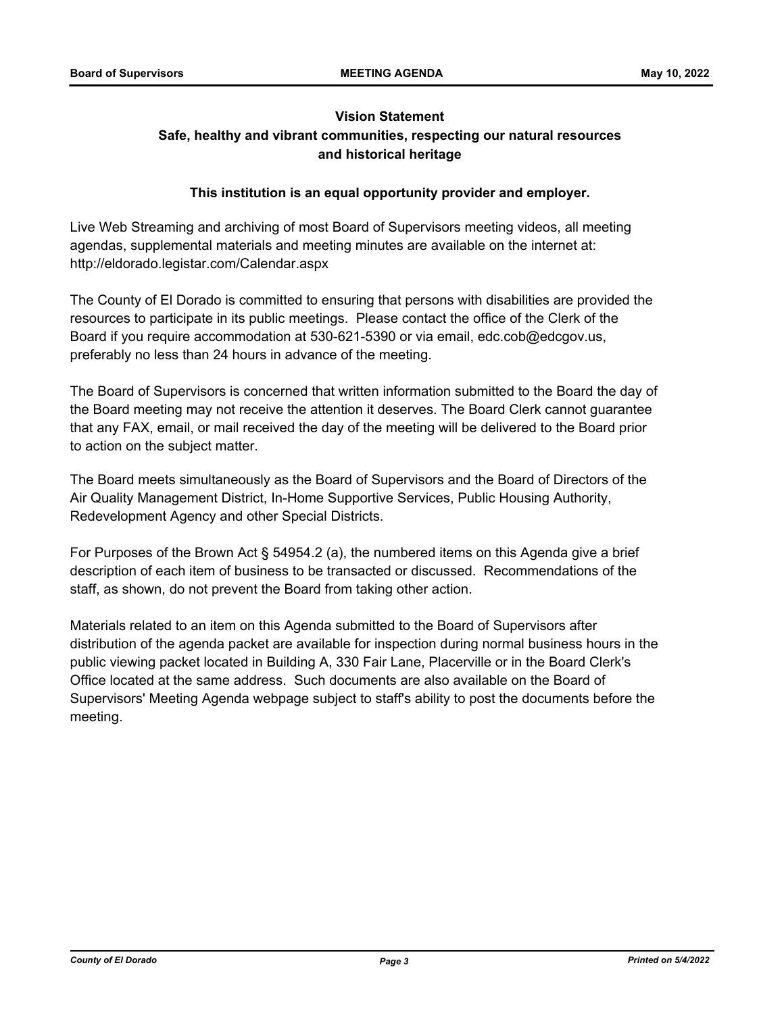# **Vision Statement Safe, healthy and vibrant communities, respecting our natural resources and historical heritage**

# **This institution is an equal opportunity provider and employer.**

Live Web Streaming and archiving of most Board of Supervisors meeting videos, all meeting agendas, supplemental materials and meeting minutes are available on the internet at: http://eldorado.legistar.com/Calendar.aspx

The County of El Dorado is committed to ensuring that persons with disabilities are provided the resources to participate in its public meetings. Please contact the office of the Clerk of the Board if you require accommodation at 530-621-5390 or via email, edc.cob@edcgov.us, preferably no less than 24 hours in advance of the meeting.

The Board of Supervisors is concerned that written information submitted to the Board the day of the Board meeting may not receive the attention it deserves. The Board Clerk cannot guarantee that any FAX, email, or mail received the day of the meeting will be delivered to the Board prior to action on the subject matter.

The Board meets simultaneously as the Board of Supervisors and the Board of Directors of the Air Quality Management District, In-Home Supportive Services, Public Housing Authority, Redevelopment Agency and other Special Districts.

For Purposes of the Brown Act § 54954.2 (a), the numbered items on this Agenda give a brief description of each item of business to be transacted or discussed. Recommendations of the staff, as shown, do not prevent the Board from taking other action.

Materials related to an item on this Agenda submitted to the Board of Supervisors after distribution of the agenda packet are available for inspection during normal business hours in the public viewing packet located in Building A, 330 Fair Lane, Placerville or in the Board Clerk's Office located at the same address. Such documents are also available on the Board of Supervisors' Meeting Agenda webpage subject to staff's ability to post the documents before the meeting.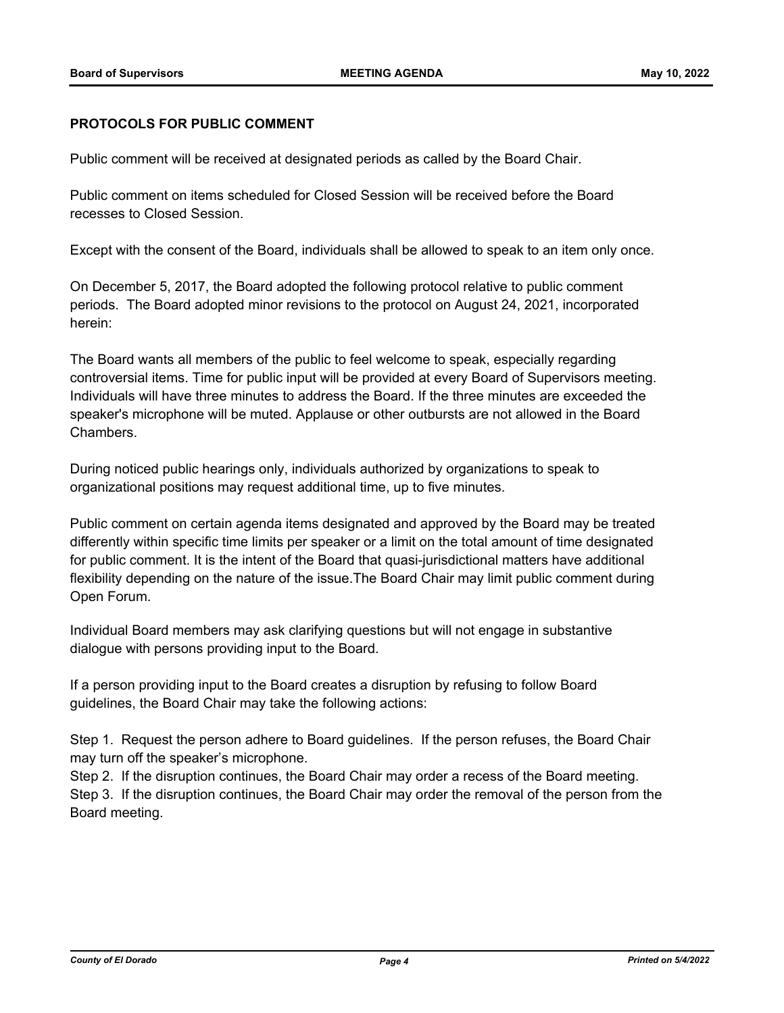## **PROTOCOLS FOR PUBLIC COMMENT**

Public comment will be received at designated periods as called by the Board Chair.

Public comment on items scheduled for Closed Session will be received before the Board recesses to Closed Session.

Except with the consent of the Board, individuals shall be allowed to speak to an item only once.

On December 5, 2017, the Board adopted the following protocol relative to public comment periods. The Board adopted minor revisions to the protocol on August 24, 2021, incorporated herein:

The Board wants all members of the public to feel welcome to speak, especially regarding controversial items. Time for public input will be provided at every Board of Supervisors meeting. Individuals will have three minutes to address the Board. If the three minutes are exceeded the speaker's microphone will be muted. Applause or other outbursts are not allowed in the Board Chambers.

During noticed public hearings only, individuals authorized by organizations to speak to organizational positions may request additional time, up to five minutes.

Public comment on certain agenda items designated and approved by the Board may be treated differently within specific time limits per speaker or a limit on the total amount of time designated for public comment. It is the intent of the Board that quasi-jurisdictional matters have additional flexibility depending on the nature of the issue.The Board Chair may limit public comment during Open Forum.

Individual Board members may ask clarifying questions but will not engage in substantive dialogue with persons providing input to the Board.

If a person providing input to the Board creates a disruption by refusing to follow Board guidelines, the Board Chair may take the following actions:

Step 1. Request the person adhere to Board guidelines. If the person refuses, the Board Chair may turn off the speaker's microphone.

Step 2. If the disruption continues, the Board Chair may order a recess of the Board meeting. Step 3. If the disruption continues, the Board Chair may order the removal of the person from the Board meeting.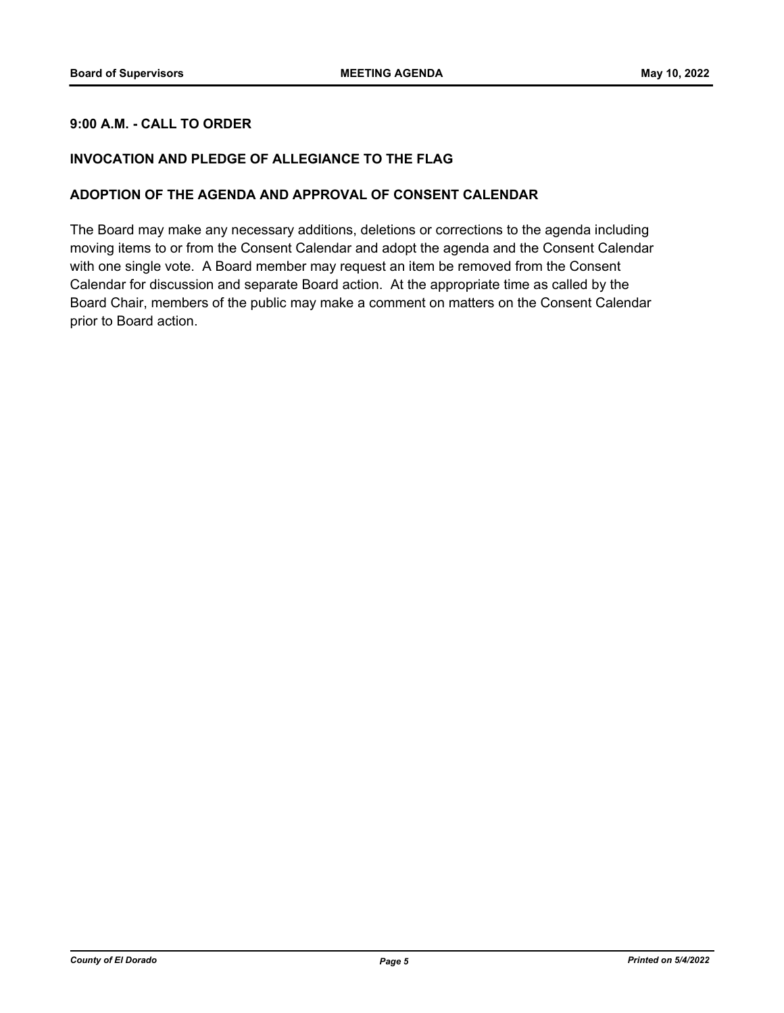# **9:00 A.M. - CALL TO ORDER**

## **INVOCATION AND PLEDGE OF ALLEGIANCE TO THE FLAG**

## **ADOPTION OF THE AGENDA AND APPROVAL OF CONSENT CALENDAR**

The Board may make any necessary additions, deletions or corrections to the agenda including moving items to or from the Consent Calendar and adopt the agenda and the Consent Calendar with one single vote. A Board member may request an item be removed from the Consent Calendar for discussion and separate Board action. At the appropriate time as called by the Board Chair, members of the public may make a comment on matters on the Consent Calendar prior to Board action.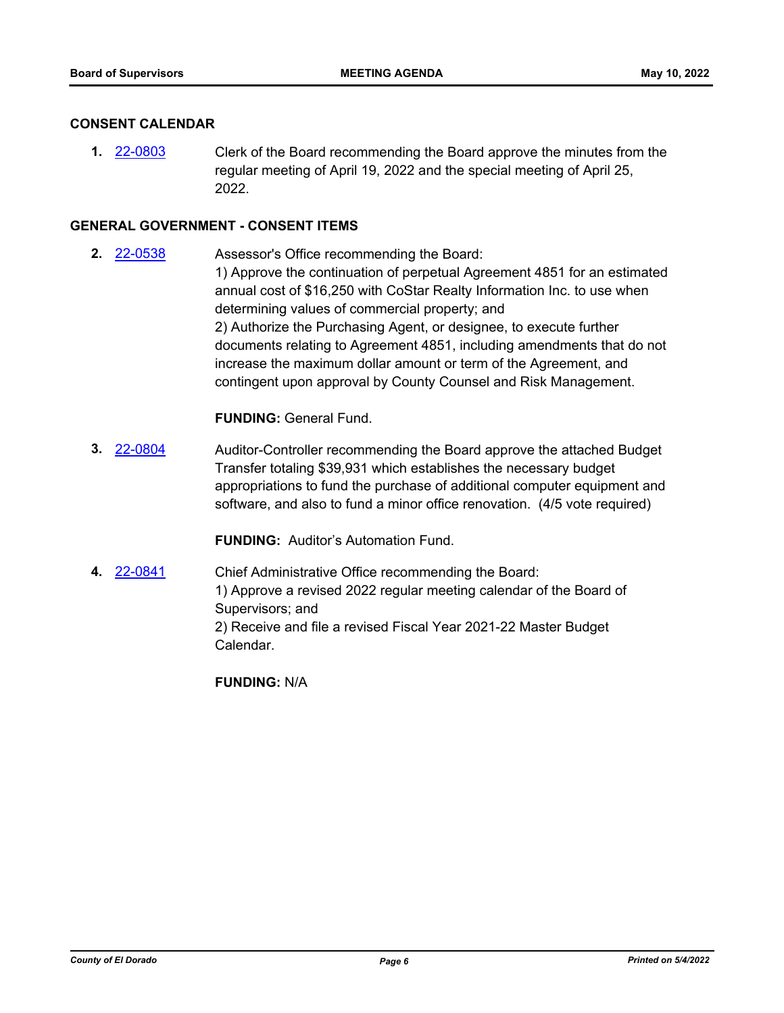## **CONSENT CALENDAR**

**1.** [22-0803](http://eldorado.legistar.com/gateway.aspx?m=l&id=/matter.aspx?key=31705) Clerk of the Board recommending the Board approve the minutes from the regular meeting of April 19, 2022 and the special meeting of April 25, 2022.

#### **GENERAL GOVERNMENT - CONSENT ITEMS**

**2.** [22-0538](http://eldorado.legistar.com/gateway.aspx?m=l&id=/matter.aspx?key=31439) Assessor's Office recommending the Board: 1) Approve the continuation of perpetual Agreement 4851 for an estimated annual cost of \$16,250 with CoStar Realty Information Inc. to use when determining values of commercial property; and 2) Authorize the Purchasing Agent, or designee, to execute further documents relating to Agreement 4851, including amendments that do not increase the maximum dollar amount or term of the Agreement, and contingent upon approval by County Counsel and Risk Management.

## **FUNDING:** General Fund.

**3.** [22-0804](http://eldorado.legistar.com/gateway.aspx?m=l&id=/matter.aspx?key=31706) Auditor-Controller recommending the Board approve the attached Budget Transfer totaling \$39,931 which establishes the necessary budget appropriations to fund the purchase of additional computer equipment and software, and also to fund a minor office renovation. (4/5 vote required)

**FUNDING:** Auditor's Automation Fund.

**4.** [22-0841](http://eldorado.legistar.com/gateway.aspx?m=l&id=/matter.aspx?key=31744) Chief Administrative Office recommending the Board: 1) Approve a revised 2022 regular meeting calendar of the Board of Supervisors; and 2) Receive and file a revised Fiscal Year 2021-22 Master Budget Calendar.

**FUNDING:** N/A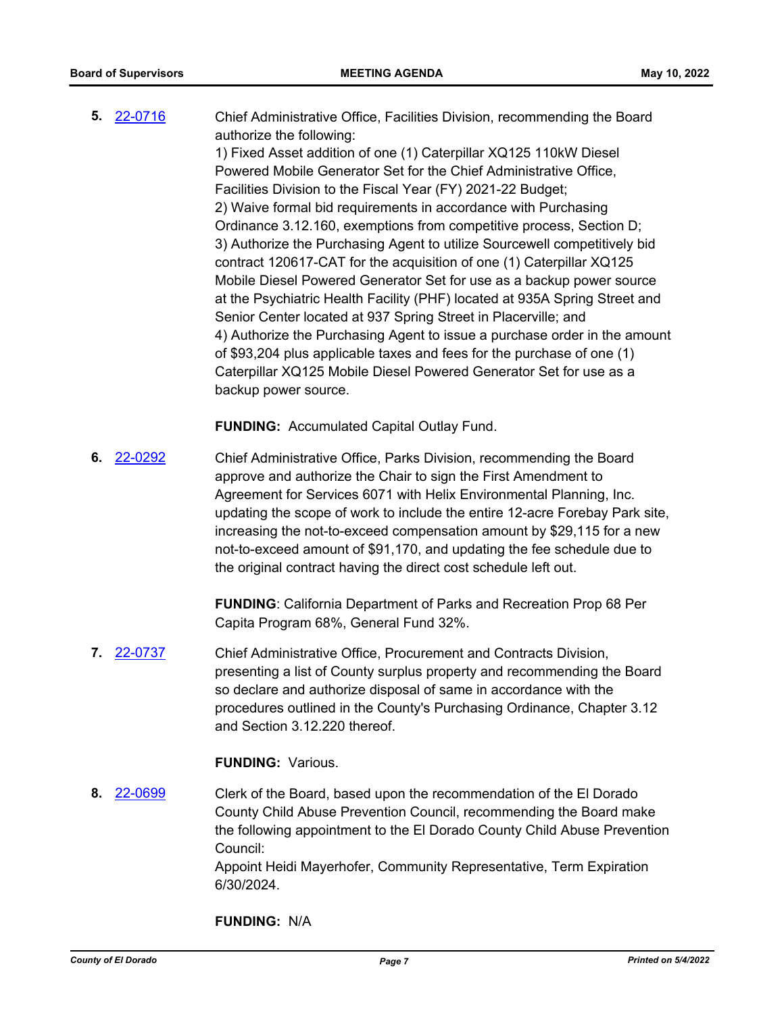**5.** [22-0716](http://eldorado.legistar.com/gateway.aspx?m=l&id=/matter.aspx?key=31617) Chief Administrative Office, Facilities Division, recommending the Board authorize the following: 1) Fixed Asset addition of one (1) Caterpillar XQ125 110kW Diesel Powered Mobile Generator Set for the Chief Administrative Office, Facilities Division to the Fiscal Year (FY) 2021-22 Budget; 2) Waive formal bid requirements in accordance with Purchasing Ordinance 3.12.160, exemptions from competitive process, Section D; 3) Authorize the Purchasing Agent to utilize Sourcewell competitively bid contract 120617-CAT for the acquisition of one (1) Caterpillar XQ125 Mobile Diesel Powered Generator Set for use as a backup power source at the Psychiatric Health Facility (PHF) located at 935A Spring Street and Senior Center located at 937 Spring Street in Placerville; and 4) Authorize the Purchasing Agent to issue a purchase order in the amount of \$93,204 plus applicable taxes and fees for the purchase of one (1) Caterpillar XQ125 Mobile Diesel Powered Generator Set for use as a backup power source.

**FUNDING:** Accumulated Capital Outlay Fund.

**6.** [22-0292](http://eldorado.legistar.com/gateway.aspx?m=l&id=/matter.aspx?key=31193) Chief Administrative Office, Parks Division, recommending the Board approve and authorize the Chair to sign the First Amendment to Agreement for Services 6071 with Helix Environmental Planning, Inc. updating the scope of work to include the entire 12-acre Forebay Park site, increasing the not-to-exceed compensation amount by \$29,115 for a new not-to-exceed amount of \$91,170, and updating the fee schedule due to the original contract having the direct cost schedule left out.

> **FUNDING**: California Department of Parks and Recreation Prop 68 Per Capita Program 68%, General Fund 32%.

**7.** [22-0737](http://eldorado.legistar.com/gateway.aspx?m=l&id=/matter.aspx?key=31638) Chief Administrative Office, Procurement and Contracts Division, presenting a list of County surplus property and recommending the Board so declare and authorize disposal of same in accordance with the procedures outlined in the County's Purchasing Ordinance, Chapter 3.12 and Section 3.12.220 thereof.

## **FUNDING:** Various.

**8.** [22-0699](http://eldorado.legistar.com/gateway.aspx?m=l&id=/matter.aspx?key=31600) Clerk of the Board, based upon the recommendation of the El Dorado County Child Abuse Prevention Council, recommending the Board make the following appointment to the El Dorado County Child Abuse Prevention Council: Appoint Heidi Mayerhofer, Community Representative, Term Expiration 6/30/2024.

**FUNDING:** N/A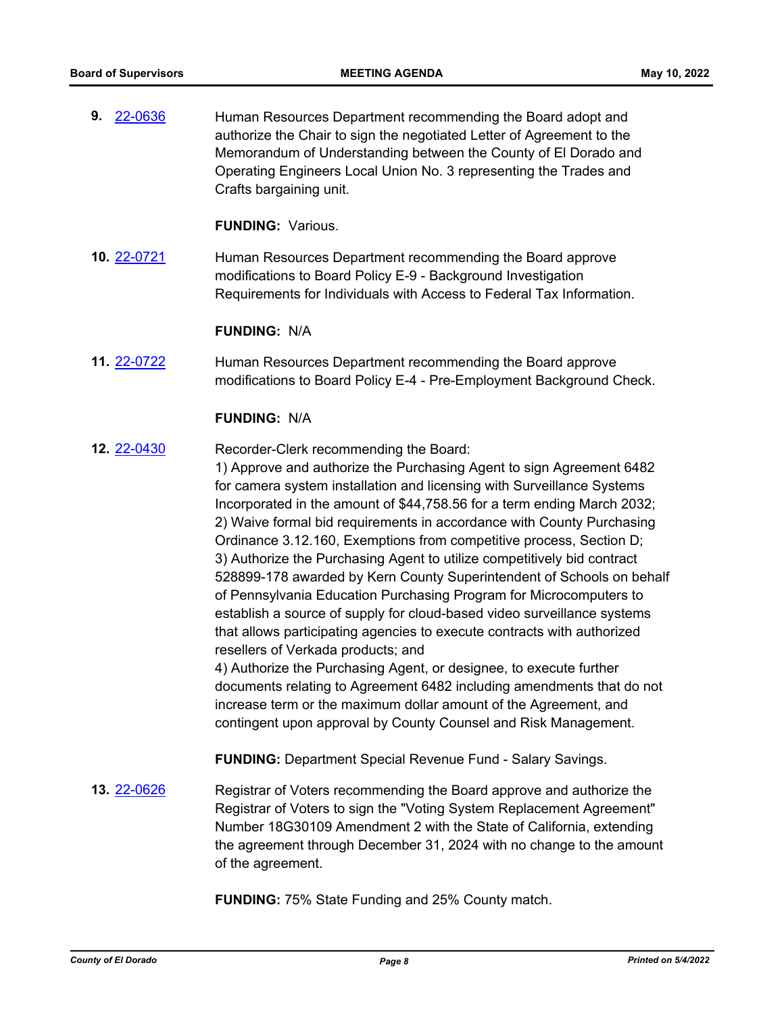**9.** [22-0636](http://eldorado.legistar.com/gateway.aspx?m=l&id=/matter.aspx?key=31537) Human Resources Department recommending the Board adopt and authorize the Chair to sign the negotiated Letter of Agreement to the Memorandum of Understanding between the County of El Dorado and Operating Engineers Local Union No. 3 representing the Trades and Crafts bargaining unit.

**FUNDING:** Various.

**10.** [22-0721](http://eldorado.legistar.com/gateway.aspx?m=l&id=/matter.aspx?key=31622) Human Resources Department recommending the Board approve modifications to Board Policy E-9 - Background Investigation Requirements for Individuals with Access to Federal Tax Information.

#### **FUNDING:** N/A

**11.** [22-0722](http://eldorado.legistar.com/gateway.aspx?m=l&id=/matter.aspx?key=31623) Human Resources Department recommending the Board approve modifications to Board Policy E-4 - Pre-Employment Background Check.

#### **FUNDING:** N/A

**12.** [22-0430](http://eldorado.legistar.com/gateway.aspx?m=l&id=/matter.aspx?key=31331) Recorder-Clerk recommending the Board:

1) Approve and authorize the Purchasing Agent to sign Agreement 6482 for camera system installation and licensing with Surveillance Systems Incorporated in the amount of \$44,758.56 for a term ending March 2032; 2) Waive formal bid requirements in accordance with County Purchasing Ordinance 3.12.160, Exemptions from competitive process, Section D; 3) Authorize the Purchasing Agent to utilize competitively bid contract 528899-178 awarded by Kern County Superintendent of Schools on behalf of Pennsylvania Education Purchasing Program for Microcomputers to establish a source of supply for cloud-based video surveillance systems that allows participating agencies to execute contracts with authorized resellers of Verkada products; and

4) Authorize the Purchasing Agent, or designee, to execute further documents relating to Agreement 6482 including amendments that do not increase term or the maximum dollar amount of the Agreement, and contingent upon approval by County Counsel and Risk Management.

**FUNDING:** Department Special Revenue Fund - Salary Savings.

**13.** [22-0626](http://eldorado.legistar.com/gateway.aspx?m=l&id=/matter.aspx?key=31527) Registrar of Voters recommending the Board approve and authorize the Registrar of Voters to sign the "Voting System Replacement Agreement" Number 18G30109 Amendment 2 with the State of California, extending the agreement through December 31, 2024 with no change to the amount of the agreement.

**FUNDING:** 75% State Funding and 25% County match.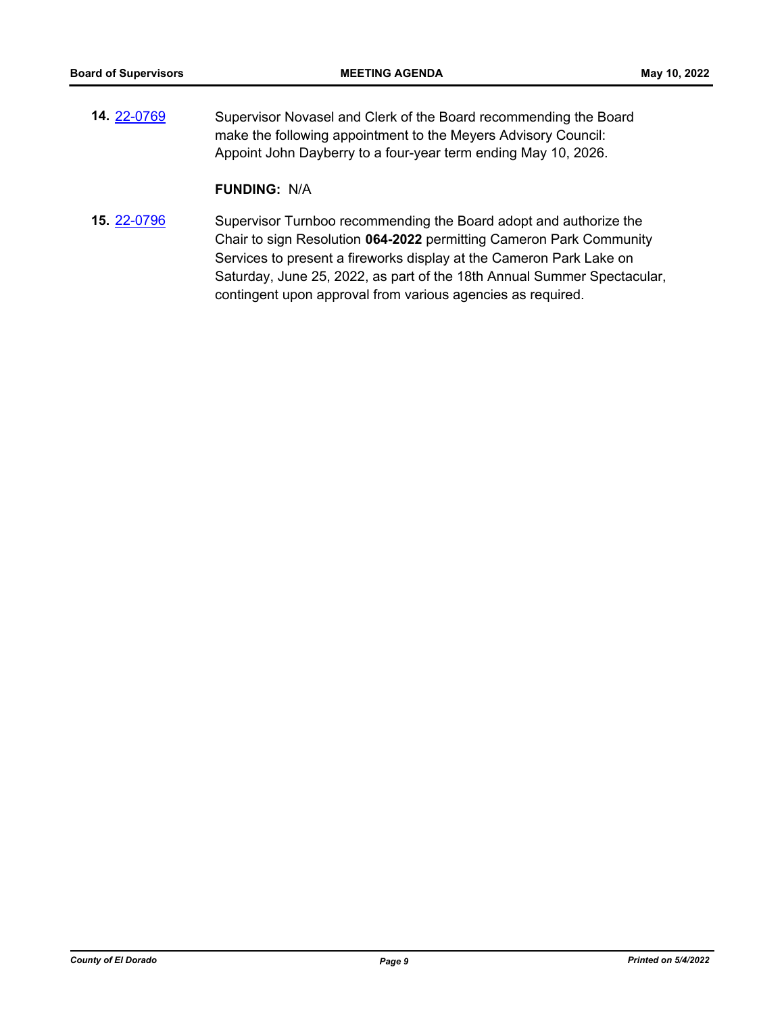**14.** [22-0769](http://eldorado.legistar.com/gateway.aspx?m=l&id=/matter.aspx?key=31670) Supervisor Novasel and Clerk of the Board recommending the Board make the following appointment to the Meyers Advisory Council: Appoint John Dayberry to a four-year term ending May 10, 2026.

## **FUNDING:** N/A

**15.** [22-0796](http://eldorado.legistar.com/gateway.aspx?m=l&id=/matter.aspx?key=31698) Supervisor Turnboo recommending the Board adopt and authorize the Chair to sign Resolution **064-2022** permitting Cameron Park Community Services to present a fireworks display at the Cameron Park Lake on Saturday, June 25, 2022, as part of the 18th Annual Summer Spectacular, contingent upon approval from various agencies as required.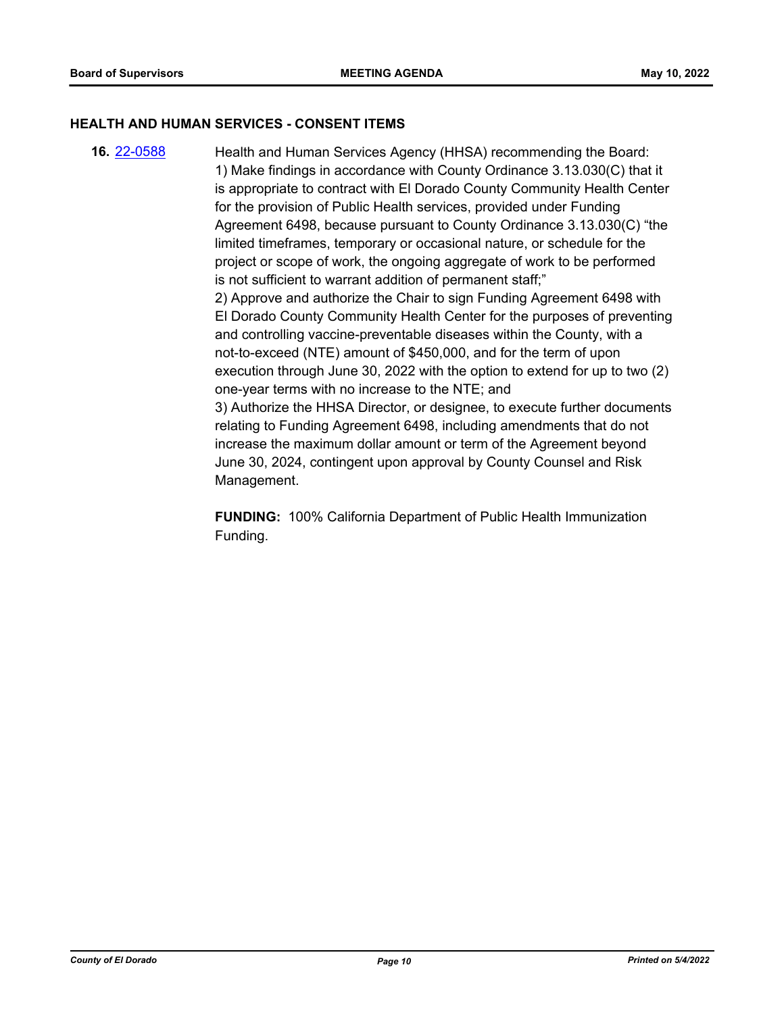#### **HEALTH AND HUMAN SERVICES - CONSENT ITEMS**

**16.** [22-0588](http://eldorado.legistar.com/gateway.aspx?m=l&id=/matter.aspx?key=31489) Health and Human Services Agency (HHSA) recommending the Board: 1) Make findings in accordance with County Ordinance 3.13.030(C) that it is appropriate to contract with El Dorado County Community Health Center for the provision of Public Health services, provided under Funding Agreement 6498, because pursuant to County Ordinance 3.13.030(C) "the limited timeframes, temporary or occasional nature, or schedule for the project or scope of work, the ongoing aggregate of work to be performed is not sufficient to warrant addition of permanent staff;" 2) Approve and authorize the Chair to sign Funding Agreement 6498 with El Dorado County Community Health Center for the purposes of preventing and controlling vaccine-preventable diseases within the County, with a not-to-exceed (NTE) amount of \$450,000, and for the term of upon execution through June 30, 2022 with the option to extend for up to two (2) one-year terms with no increase to the NTE; and 3) Authorize the HHSA Director, or designee, to execute further documents relating to Funding Agreement 6498, including amendments that do not increase the maximum dollar amount or term of the Agreement beyond June 30, 2024, contingent upon approval by County Counsel and Risk Management.

> **FUNDING:** 100% California Department of Public Health Immunization Funding.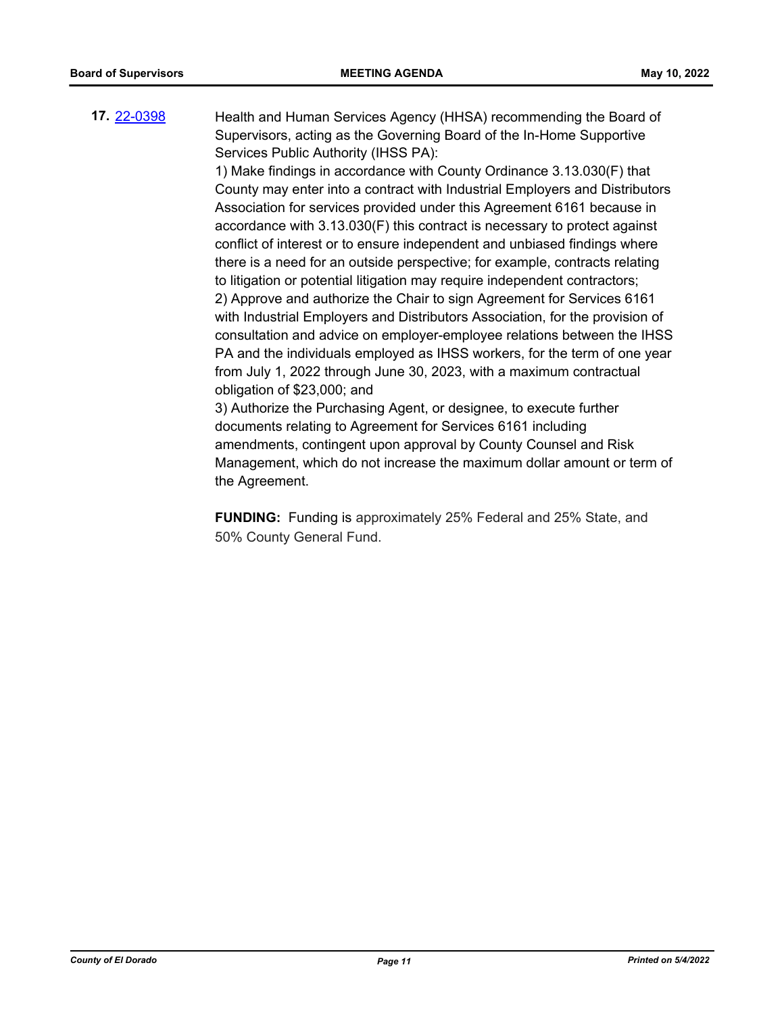**17.** [22-0398](http://eldorado.legistar.com/gateway.aspx?m=l&id=/matter.aspx?key=31299) Health and Human Services Agency (HHSA) recommending the Board of Supervisors, acting as the Governing Board of the In-Home Supportive Services Public Authority (IHSS PA):

> 1) Make findings in accordance with County Ordinance 3.13.030(F) that County may enter into a contract with Industrial Employers and Distributors Association for services provided under this Agreement 6161 because in accordance with 3.13.030(F) this contract is necessary to protect against conflict of interest or to ensure independent and unbiased findings where there is a need for an outside perspective; for example, contracts relating to litigation or potential litigation may require independent contractors; 2) Approve and authorize the Chair to sign Agreement for Services 6161 with Industrial Employers and Distributors Association, for the provision of consultation and advice on employer-employee relations between the IHSS PA and the individuals employed as IHSS workers, for the term of one year from July 1, 2022 through June 30, 2023, with a maximum contractual obligation of \$23,000; and

> 3) Authorize the Purchasing Agent, or designee, to execute further documents relating to Agreement for Services 6161 including amendments, contingent upon approval by County Counsel and Risk Management, which do not increase the maximum dollar amount or term of the Agreement.

**FUNDING:** Funding is approximately 25% Federal and 25% State, and 50% County General Fund.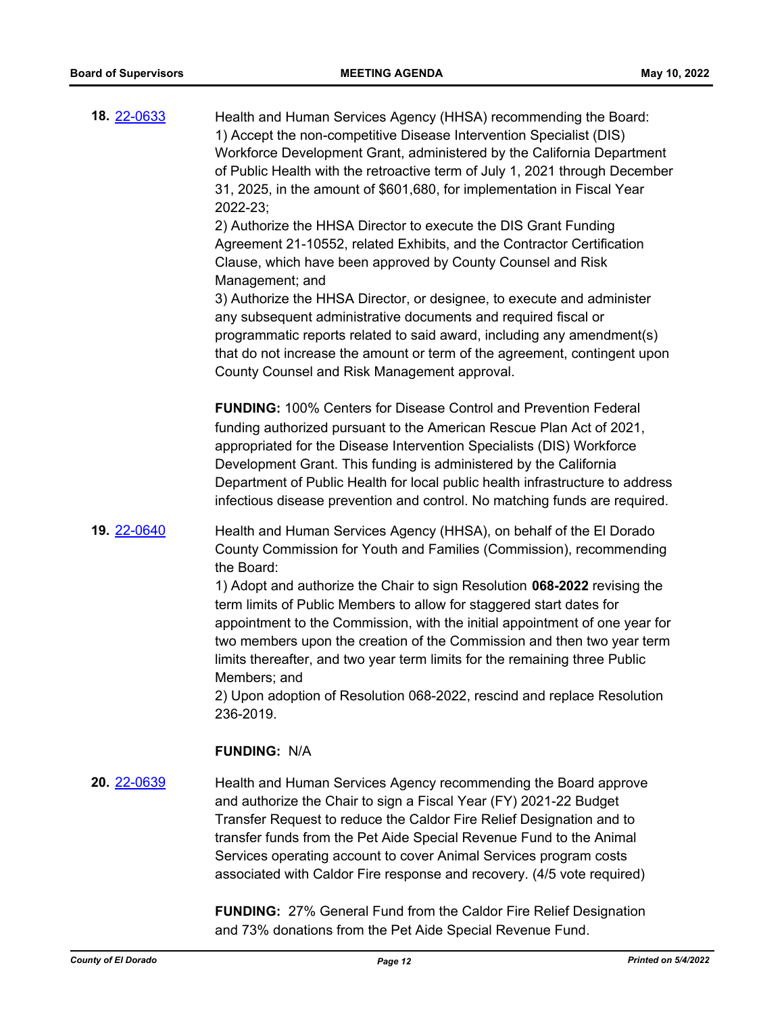| 18. 22-0633        | Health and Human Services Agency (HHSA) recommending the Board:<br>1) Accept the non-competitive Disease Intervention Specialist (DIS)<br>Workforce Development Grant, administered by the California Department<br>of Public Health with the retroactive term of July 1, 2021 through December<br>31, 2025, in the amount of \$601,680, for implementation in Fiscal Year<br>2022-23;<br>2) Authorize the HHSA Director to execute the DIS Grant Funding<br>Agreement 21-10552, related Exhibits, and the Contractor Certification<br>Clause, which have been approved by County Counsel and Risk<br>Management; and<br>3) Authorize the HHSA Director, or designee, to execute and administer<br>any subsequent administrative documents and required fiscal or<br>programmatic reports related to said award, including any amendment(s)<br>that do not increase the amount or term of the agreement, contingent upon |
|--------------------|--------------------------------------------------------------------------------------------------------------------------------------------------------------------------------------------------------------------------------------------------------------------------------------------------------------------------------------------------------------------------------------------------------------------------------------------------------------------------------------------------------------------------------------------------------------------------------------------------------------------------------------------------------------------------------------------------------------------------------------------------------------------------------------------------------------------------------------------------------------------------------------------------------------------------|
|                    | County Counsel and Risk Management approval.                                                                                                                                                                                                                                                                                                                                                                                                                                                                                                                                                                                                                                                                                                                                                                                                                                                                             |
|                    | <b>FUNDING: 100% Centers for Disease Control and Prevention Federal</b><br>funding authorized pursuant to the American Rescue Plan Act of 2021,<br>appropriated for the Disease Intervention Specialists (DIS) Workforce<br>Development Grant. This funding is administered by the California<br>Department of Public Health for local public health infrastructure to address<br>infectious disease prevention and control. No matching funds are required.                                                                                                                                                                                                                                                                                                                                                                                                                                                             |
| <b>19. 22-0640</b> | Health and Human Services Agency (HHSA), on behalf of the El Dorado<br>County Commission for Youth and Families (Commission), recommending<br>the Board:<br>1) Adopt and authorize the Chair to sign Resolution 068-2022 revising the<br>term limits of Public Members to allow for staggered start dates for<br>appointment to the Commission, with the initial appointment of one year for<br>two members upon the creation of the Commission and then two year term<br>limits thereafter, and two year term limits for the remaining three Public<br>Members; and<br>2) Upon adoption of Resolution 068-2022, rescind and replace Resolution<br>236-2019.                                                                                                                                                                                                                                                             |
|                    | <b>FUNDING: N/A</b>                                                                                                                                                                                                                                                                                                                                                                                                                                                                                                                                                                                                                                                                                                                                                                                                                                                                                                      |
| 20. 22-0639        | Health and Human Services Agency recommending the Board approve<br>and authorize the Chair to sign a Fiscal Year (FY) 2021-22 Budget<br>Transfer Request to reduce the Caldor Fire Relief Designation and to<br>transfer funds from the Pet Aide Special Revenue Fund to the Animal<br>Services operating account to cover Animal Services program costs<br>associated with Caldor Fire response and recovery. (4/5 vote required)                                                                                                                                                                                                                                                                                                                                                                                                                                                                                       |

**FUNDING:** 27% General Fund from the Caldor Fire Relief Designation and 73% donations from the Pet Aide Special Revenue Fund.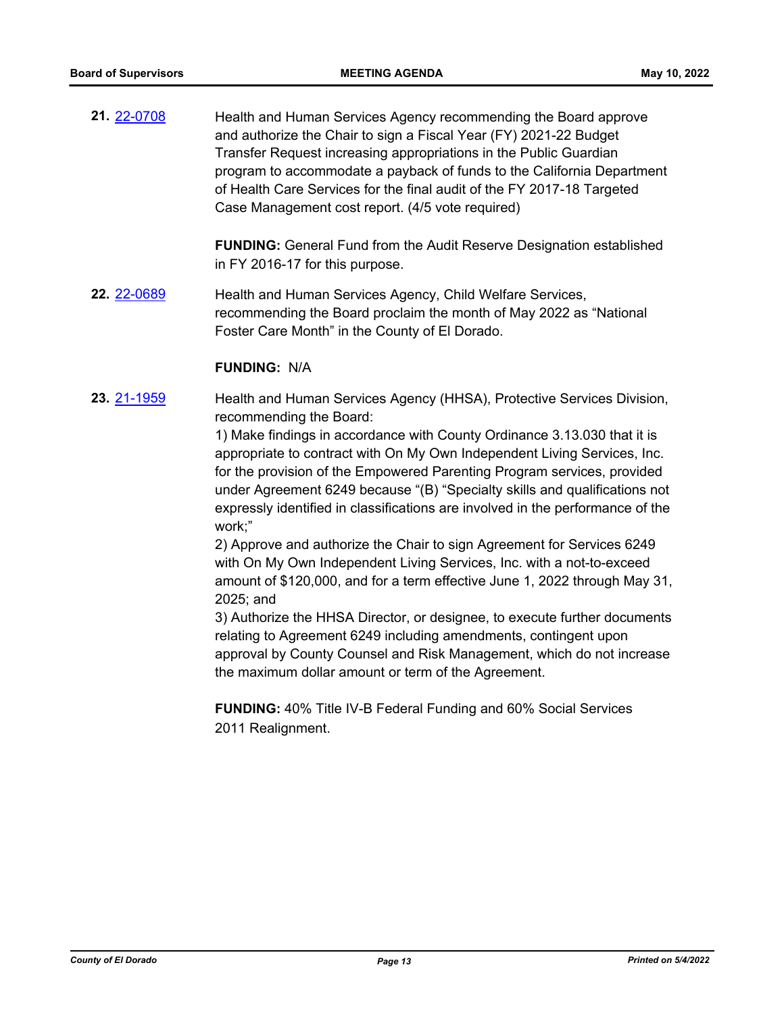**21.** [22-0708](http://eldorado.legistar.com/gateway.aspx?m=l&id=/matter.aspx?key=31609) Health and Human Services Agency recommending the Board approve and authorize the Chair to sign a Fiscal Year (FY) 2021-22 Budget Transfer Request increasing appropriations in the Public Guardian program to accommodate a payback of funds to the California Department of Health Care Services for the final audit of the FY 2017-18 Targeted Case Management cost report. (4/5 vote required)

> **FUNDING:** General Fund from the Audit Reserve Designation established in FY 2016-17 for this purpose.

**22.** [22-0689](http://eldorado.legistar.com/gateway.aspx?m=l&id=/matter.aspx?key=31590) Health and Human Services Agency, Child Welfare Services, recommending the Board proclaim the month of May 2022 as "National Foster Care Month" in the County of El Dorado.

#### **FUNDING:** N/A

**23.** [21-1959](http://eldorado.legistar.com/gateway.aspx?m=l&id=/matter.aspx?key=30855) Health and Human Services Agency (HHSA), Protective Services Division, recommending the Board:

> 1) Make findings in accordance with County Ordinance 3.13.030 that it is appropriate to contract with On My Own Independent Living Services, Inc. for the provision of the Empowered Parenting Program services, provided under Agreement 6249 because "(B) "Specialty skills and qualifications not expressly identified in classifications are involved in the performance of the work;"

> 2) Approve and authorize the Chair to sign Agreement for Services 6249 with On My Own Independent Living Services, Inc. with a not-to-exceed amount of \$120,000, and for a term effective June 1, 2022 through May 31, 2025; and

> 3) Authorize the HHSA Director, or designee, to execute further documents relating to Agreement 6249 including amendments, contingent upon approval by County Counsel and Risk Management, which do not increase the maximum dollar amount or term of the Agreement.

**FUNDING:** 40% Title IV-B Federal Funding and 60% Social Services 2011 Realignment.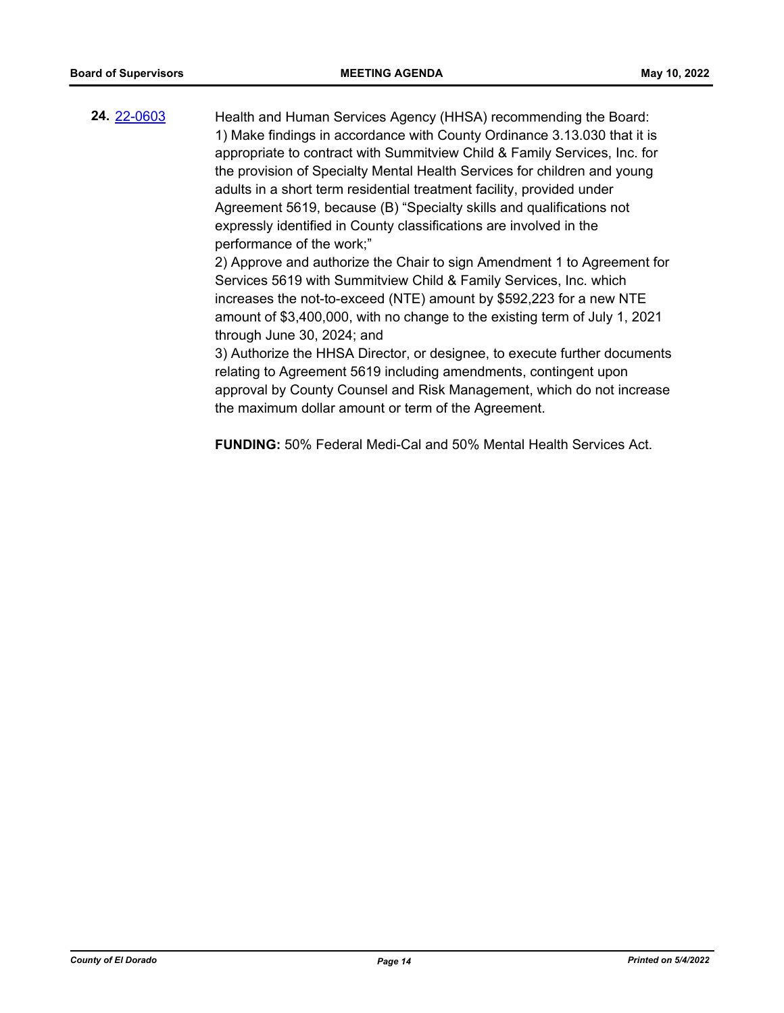**24.** [22-0603](http://eldorado.legistar.com/gateway.aspx?m=l&id=/matter.aspx?key=31504) Health and Human Services Agency (HHSA) recommending the Board: 1) Make findings in accordance with County Ordinance 3.13.030 that it is appropriate to contract with Summitview Child & Family Services, Inc. for the provision of Specialty Mental Health Services for children and young adults in a short term residential treatment facility, provided under Agreement 5619, because (B) "Specialty skills and qualifications not expressly identified in County classifications are involved in the performance of the work;" 2) Approve and authorize the Chair to sign Amendment 1 to Agreement for

Services 5619 with Summitview Child & Family Services, Inc. which increases the not-to-exceed (NTE) amount by \$592,223 for a new NTE amount of \$3,400,000, with no change to the existing term of July 1, 2021 through June 30, 2024; and

3) Authorize the HHSA Director, or designee, to execute further documents relating to Agreement 5619 including amendments, contingent upon approval by County Counsel and Risk Management, which do not increase the maximum dollar amount or term of the Agreement.

**FUNDING:** 50% Federal Medi-Cal and 50% Mental Health Services Act.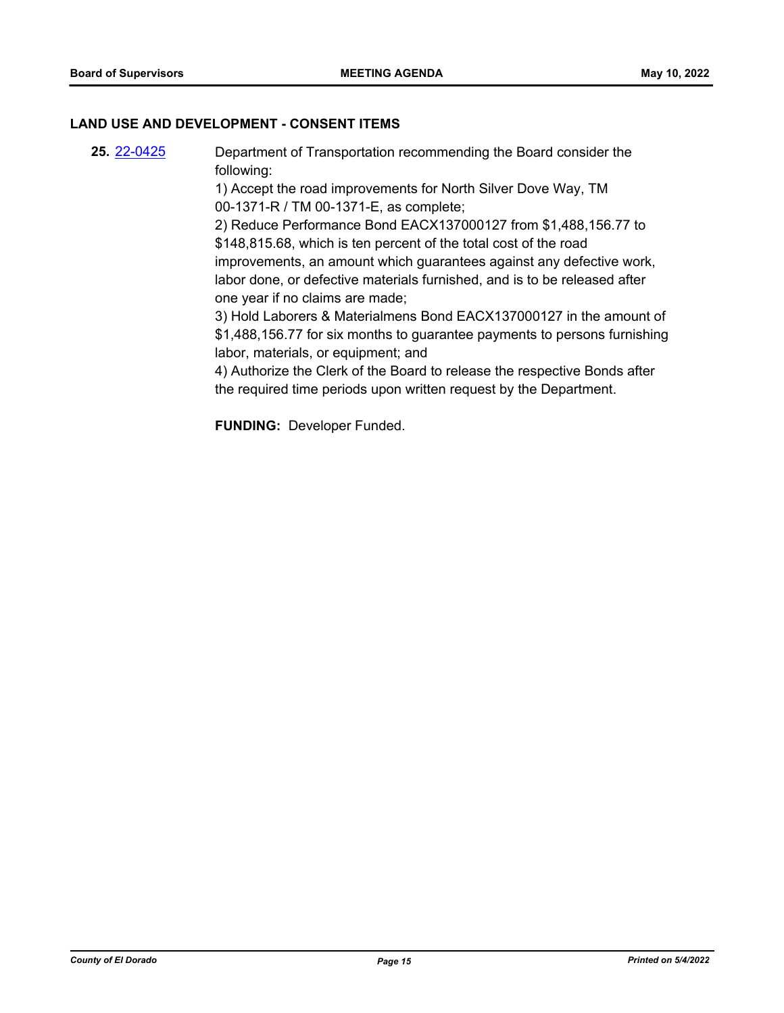#### **LAND USE AND DEVELOPMENT - CONSENT ITEMS**

**25.** [22-0425](http://eldorado.legistar.com/gateway.aspx?m=l&id=/matter.aspx?key=31326) Department of Transportation recommending the Board consider the following: 1) Accept the road improvements for North Silver Dove Way, TM 00-1371-R / TM 00-1371-E, as complete; 2) Reduce Performance Bond EACX137000127 from \$1,488,156.77 to \$148,815.68, which is ten percent of the total cost of the road improvements, an amount which guarantees against any defective work, labor done, or defective materials furnished, and is to be released after one year if no claims are made; 3) Hold Laborers & Materialmens Bond EACX137000127 in the amount of \$1,488,156.77 for six months to guarantee payments to persons furnishing labor, materials, or equipment; and 4) Authorize the Clerk of the Board to release the respective Bonds after the required time periods upon written request by the Department.

**FUNDING:** Developer Funded.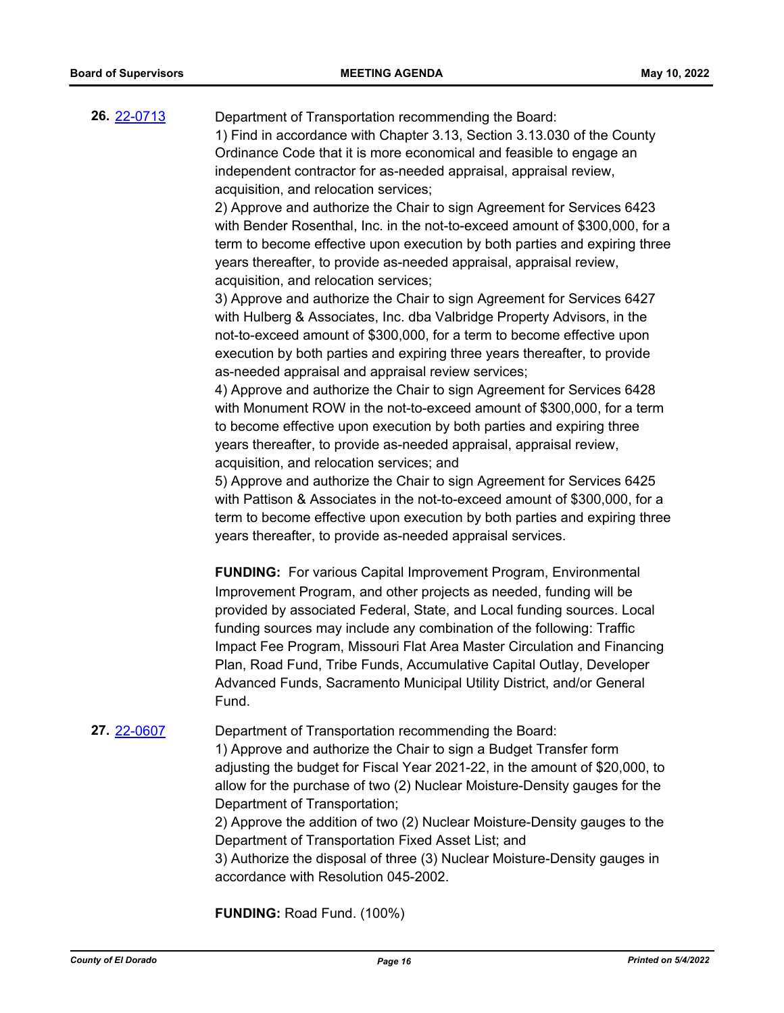**26.** [22-0713](http://eldorado.legistar.com/gateway.aspx?m=l&id=/matter.aspx?key=31614) Department of Transportation recommending the Board: 1) Find in accordance with Chapter 3.13, Section 3.13.030 of the County Ordinance Code that it is more economical and feasible to engage an independent contractor for as-needed appraisal, appraisal review, acquisition, and relocation services;

> 2) Approve and authorize the Chair to sign Agreement for Services 6423 with Bender Rosenthal, Inc. in the not-to-exceed amount of \$300,000, for a term to become effective upon execution by both parties and expiring three years thereafter, to provide as-needed appraisal, appraisal review, acquisition, and relocation services;

3) Approve and authorize the Chair to sign Agreement for Services 6427 with Hulberg & Associates, Inc. dba Valbridge Property Advisors, in the not-to-exceed amount of \$300,000, for a term to become effective upon execution by both parties and expiring three years thereafter, to provide as-needed appraisal and appraisal review services;

4) Approve and authorize the Chair to sign Agreement for Services 6428 with Monument ROW in the not-to-exceed amount of \$300,000, for a term to become effective upon execution by both parties and expiring three years thereafter, to provide as-needed appraisal, appraisal review, acquisition, and relocation services; and

5) Approve and authorize the Chair to sign Agreement for Services 6425 with Pattison & Associates in the not-to-exceed amount of \$300,000, for a term to become effective upon execution by both parties and expiring three years thereafter, to provide as-needed appraisal services.

**FUNDING:** For various Capital Improvement Program, Environmental Improvement Program, and other projects as needed, funding will be provided by associated Federal, State, and Local funding sources. Local funding sources may include any combination of the following: Traffic Impact Fee Program, Missouri Flat Area Master Circulation and Financing Plan, Road Fund, Tribe Funds, Accumulative Capital Outlay, Developer Advanced Funds, Sacramento Municipal Utility District, and/or General Fund.

**27.** [22-0607](http://eldorado.legistar.com/gateway.aspx?m=l&id=/matter.aspx?key=31508) Department of Transportation recommending the Board:

1) Approve and authorize the Chair to sign a Budget Transfer form adjusting the budget for Fiscal Year 2021-22, in the amount of \$20,000, to allow for the purchase of two (2) Nuclear Moisture-Density gauges for the Department of Transportation;

2) Approve the addition of two (2) Nuclear Moisture-Density gauges to the Department of Transportation Fixed Asset List; and

3) Authorize the disposal of three (3) Nuclear Moisture-Density gauges in accordance with Resolution 045-2002.

**FUNDING:** Road Fund. (100%)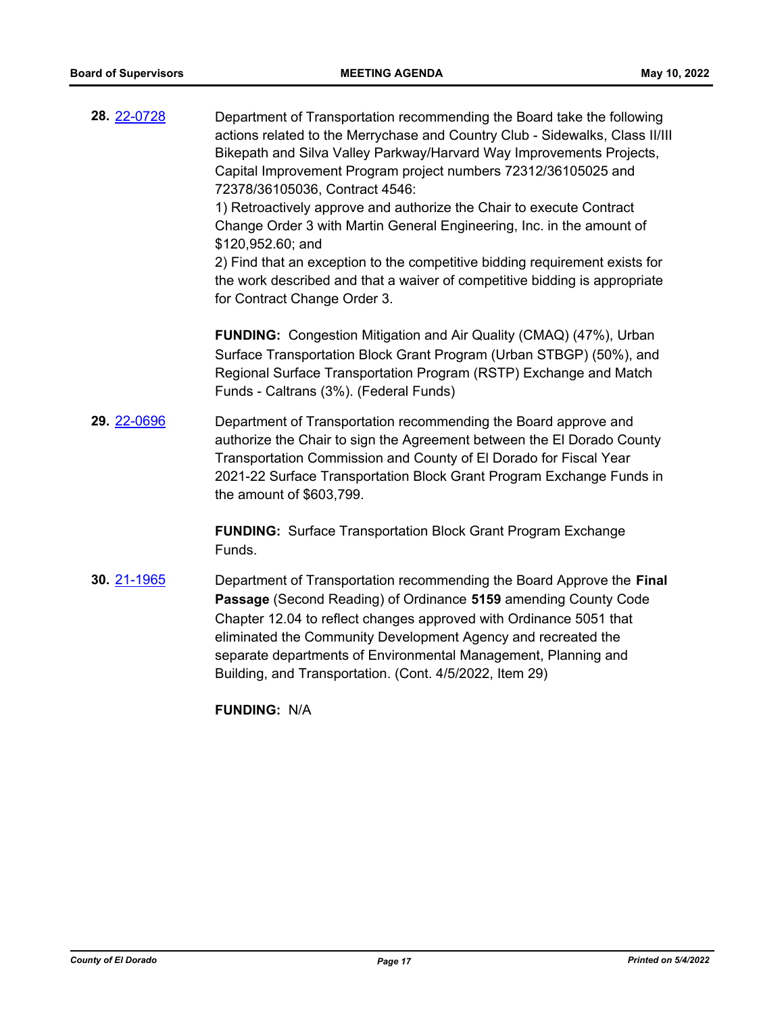| 28. 22-0728 | Department of Transportation recommending the Board take the following<br>actions related to the Merrychase and Country Club - Sidewalks, Class II/III<br>Bikepath and Silva Valley Parkway/Harvard Way Improvements Projects,<br>Capital Improvement Program project numbers 72312/36105025 and<br>72378/36105036, Contract 4546:<br>1) Retroactively approve and authorize the Chair to execute Contract<br>Change Order 3 with Martin General Engineering, Inc. in the amount of<br>\$120,952.60; and<br>2) Find that an exception to the competitive bidding requirement exists for<br>the work described and that a waiver of competitive bidding is appropriate<br>for Contract Change Order 3. |
|-------------|-------------------------------------------------------------------------------------------------------------------------------------------------------------------------------------------------------------------------------------------------------------------------------------------------------------------------------------------------------------------------------------------------------------------------------------------------------------------------------------------------------------------------------------------------------------------------------------------------------------------------------------------------------------------------------------------------------|
|             | <b>FUNDING:</b> Congestion Mitigation and Air Quality (CMAQ) (47%), Urban<br>Surface Transportation Block Grant Program (Urban STBGP) (50%), and<br>Regional Surface Transportation Program (RSTP) Exchange and Match<br>Funds - Caltrans (3%). (Federal Funds)                                                                                                                                                                                                                                                                                                                                                                                                                                       |
| 29. 22-0696 | Department of Transportation recommending the Board approve and<br>authorize the Chair to sign the Agreement between the El Dorado County<br>Transportation Commission and County of El Dorado for Fiscal Year<br>2021-22 Surface Transportation Block Grant Program Exchange Funds in<br>the amount of \$603,799.                                                                                                                                                                                                                                                                                                                                                                                    |
|             | <b>FUNDING:</b> Surface Transportation Block Grant Program Exchange<br>Funds.                                                                                                                                                                                                                                                                                                                                                                                                                                                                                                                                                                                                                         |
| 30. 21-1965 | Department of Transportation recommending the Board Approve the Final<br>Passage (Second Reading) of Ordinance 5159 amending County Code<br>Chapter 12.04 to reflect changes approved with Ordinance 5051 that<br>eliminated the Community Development Agency and recreated the<br>separate departments of Environmental Management, Planning and<br>Building, and Transportation. (Cont. 4/5/2022, Item 29)                                                                                                                                                                                                                                                                                          |
|             | <b>FUNDING: N/A</b>                                                                                                                                                                                                                                                                                                                                                                                                                                                                                                                                                                                                                                                                                   |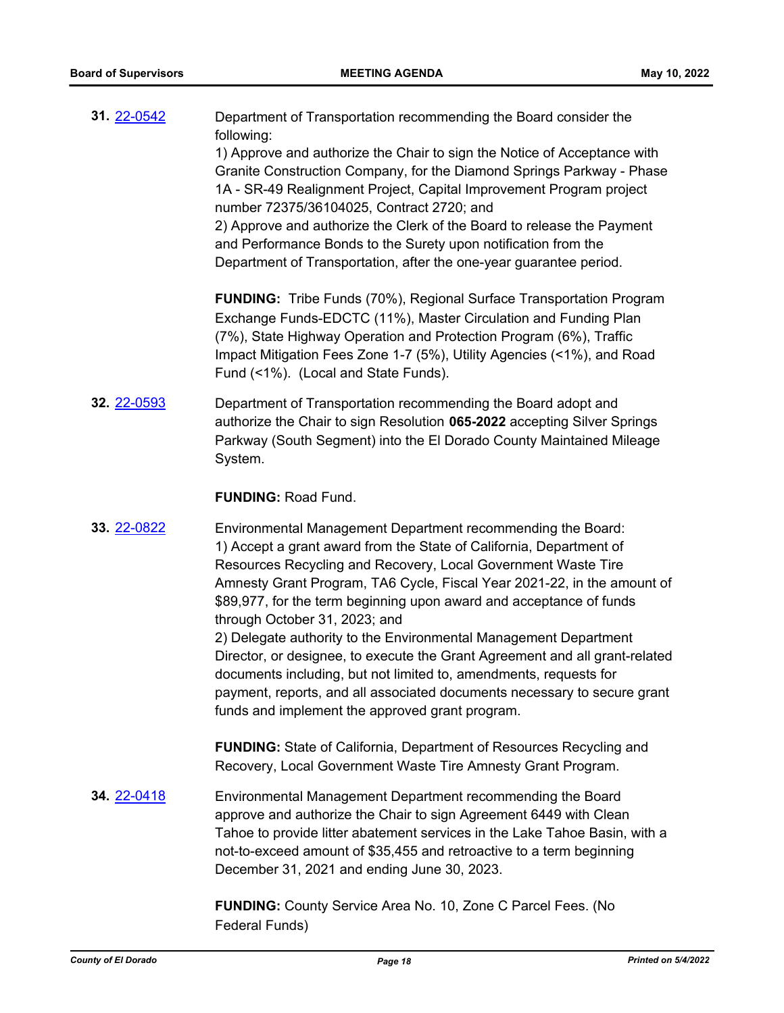| 31. 22-0542 | Department of Transportation recommending the Board consider the<br>following:<br>1) Approve and authorize the Chair to sign the Notice of Acceptance with<br>Granite Construction Company, for the Diamond Springs Parkway - Phase<br>1A - SR-49 Realignment Project, Capital Improvement Program project<br>number 72375/36104025, Contract 2720; and<br>2) Approve and authorize the Clerk of the Board to release the Payment<br>and Performance Bonds to the Surety upon notification from the<br>Department of Transportation, after the one-year guarantee period. |
|-------------|---------------------------------------------------------------------------------------------------------------------------------------------------------------------------------------------------------------------------------------------------------------------------------------------------------------------------------------------------------------------------------------------------------------------------------------------------------------------------------------------------------------------------------------------------------------------------|
|             | <b>FUNDING:</b> Tribe Funds (70%), Regional Surface Transportation Program<br>Exchange Funds-EDCTC (11%), Master Circulation and Funding Plan<br>(7%), State Highway Operation and Protection Program (6%), Traffic<br>Impact Mitigation Fees Zone 1-7 (5%), Utility Agencies (<1%), and Road<br>Fund (<1%). (Local and State Funds).                                                                                                                                                                                                                                     |
| 32. 22-0593 | Department of Transportation recommending the Board adopt and<br>authorize the Chair to sign Resolution 065-2022 accepting Silver Springs<br>Parkway (South Segment) into the El Dorado County Maintained Mileage<br>System.                                                                                                                                                                                                                                                                                                                                              |
|             | <b>FUNDING: Road Fund.</b>                                                                                                                                                                                                                                                                                                                                                                                                                                                                                                                                                |
| 33. 22-0822 | Environmental Management Department recommending the Board:<br>1) Accept a grant award from the State of California, Department of<br>Resources Recycling and Recovery, Local Government Waste Tire<br>Amnesty Grant Program, TA6 Cycle, Fiscal Year 2021-22, in the amount of<br>\$89,977, for the term beginning upon award and acceptance of funds<br>through October 31, 2023; and                                                                                                                                                                                    |
|             | 2) Delegate authority to the Environmental Management Department<br>Director, or designee, to execute the Grant Agreement and all grant-related<br>documents including, but not limited to, amendments, requests for<br>payment, reports, and all associated documents necessary to secure grant<br>funds and implement the approved grant program.                                                                                                                                                                                                                       |
|             | <b>FUNDING:</b> State of California, Department of Resources Recycling and<br>Recovery, Local Government Waste Tire Amnesty Grant Program.                                                                                                                                                                                                                                                                                                                                                                                                                                |
| 34. 22-0418 | Environmental Management Department recommending the Board<br>approve and authorize the Chair to sign Agreement 6449 with Clean<br>Tahoe to provide litter abatement services in the Lake Tahoe Basin, with a<br>not-to-exceed amount of \$35,455 and retroactive to a term beginning<br>December 31, 2021 and ending June 30, 2023.                                                                                                                                                                                                                                      |
|             | FUNDING: County Service Area No. 10, Zone C Parcel Fees. (No<br>Federal Funds)                                                                                                                                                                                                                                                                                                                                                                                                                                                                                            |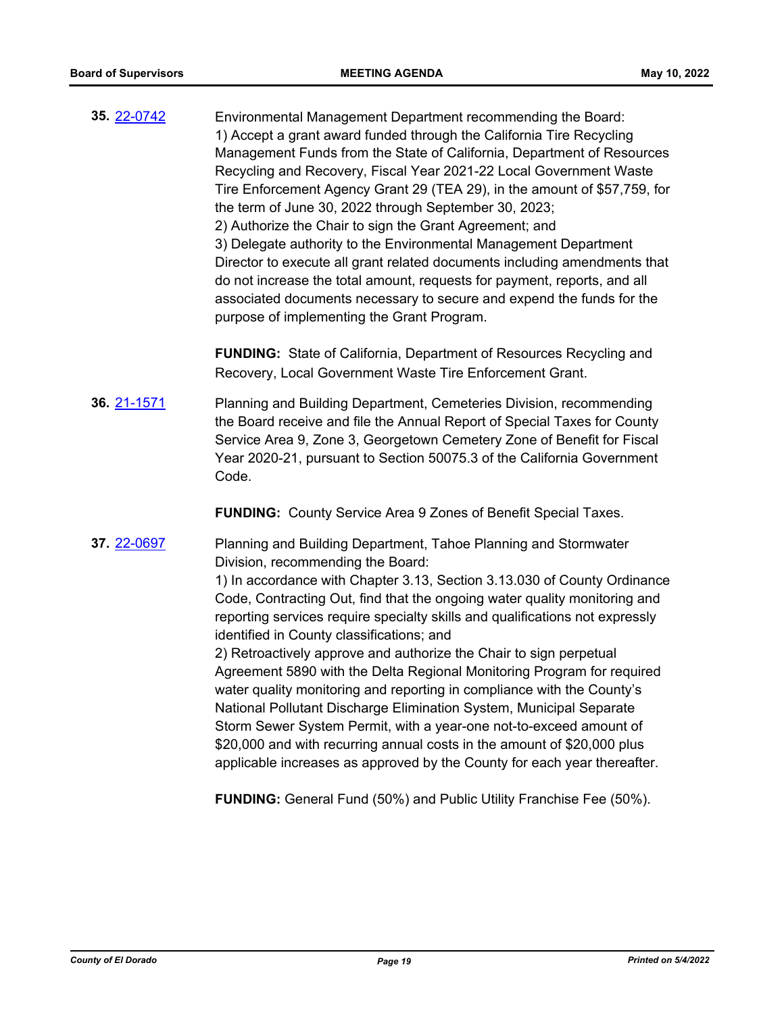**35.** [22-0742](http://eldorado.legistar.com/gateway.aspx?m=l&id=/matter.aspx?key=31643) Environmental Management Department recommending the Board: 1) Accept a grant award funded through the California Tire Recycling Management Funds from the State of California, Department of Resources Recycling and Recovery, Fiscal Year 2021-22 Local Government Waste Tire Enforcement Agency Grant 29 (TEA 29), in the amount of \$57,759, for the term of June 30, 2022 through September 30, 2023; 2) Authorize the Chair to sign the Grant Agreement; and 3) Delegate authority to the Environmental Management Department Director to execute all grant related documents including amendments that do not increase the total amount, requests for payment, reports, and all associated documents necessary to secure and expend the funds for the purpose of implementing the Grant Program.

> **FUNDING:** State of California, Department of Resources Recycling and Recovery, Local Government Waste Tire Enforcement Grant.

**36.** [21-1571](http://eldorado.legistar.com/gateway.aspx?m=l&id=/matter.aspx?key=30466) Planning and Building Department, Cemeteries Division, recommending the Board receive and file the Annual Report of Special Taxes for County Service Area 9, Zone 3, Georgetown Cemetery Zone of Benefit for Fiscal Year 2020-21, pursuant to Section 50075.3 of the California Government Code.

**FUNDING:** County Service Area 9 Zones of Benefit Special Taxes.

**37.** [22-0697](http://eldorado.legistar.com/gateway.aspx?m=l&id=/matter.aspx?key=31598) Planning and Building Department, Tahoe Planning and Stormwater Division, recommending the Board:

> 1) In accordance with Chapter 3.13, Section 3.13.030 of County Ordinance Code, Contracting Out, find that the ongoing water quality monitoring and reporting services require specialty skills and qualifications not expressly identified in County classifications; and

2) Retroactively approve and authorize the Chair to sign perpetual Agreement 5890 with the Delta Regional Monitoring Program for required water quality monitoring and reporting in compliance with the County's National Pollutant Discharge Elimination System, Municipal Separate Storm Sewer System Permit, with a year-one not-to-exceed amount of \$20,000 and with recurring annual costs in the amount of \$20,000 plus applicable increases as approved by the County for each year thereafter.

**FUNDING:** General Fund (50%) and Public Utility Franchise Fee (50%).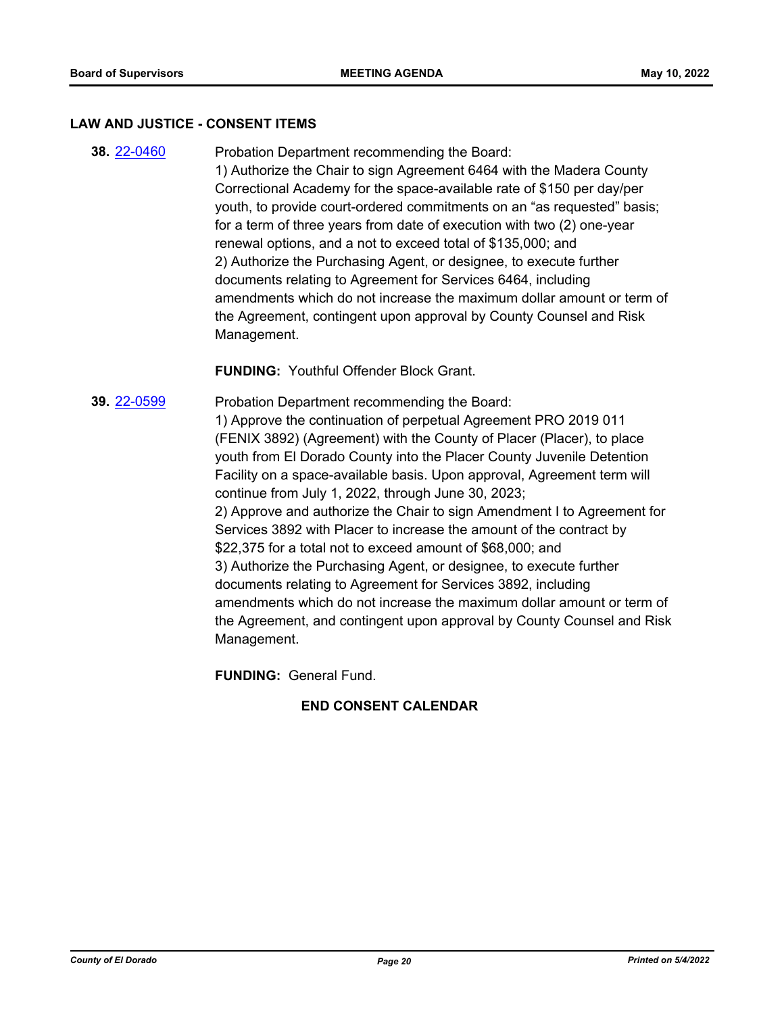#### **LAW AND JUSTICE - CONSENT ITEMS**

**38.** [22-0460](http://eldorado.legistar.com/gateway.aspx?m=l&id=/matter.aspx?key=31361) Probation Department recommending the Board: 1) Authorize the Chair to sign Agreement 6464 with the Madera County Correctional Academy for the space-available rate of \$150 per day/per youth, to provide court-ordered commitments on an "as requested" basis; for a term of three years from date of execution with two (2) one-year renewal options, and a not to exceed total of \$135,000; and 2) Authorize the Purchasing Agent, or designee, to execute further documents relating to Agreement for Services 6464, including amendments which do not increase the maximum dollar amount or term of the Agreement, contingent upon approval by County Counsel and Risk Management.

**FUNDING:** Youthful Offender Block Grant.

**39.** [22-0599](http://eldorado.legistar.com/gateway.aspx?m=l&id=/matter.aspx?key=31500) Probation Department recommending the Board: 1) Approve the continuation of perpetual Agreement PRO 2019 011 (FENIX 3892) (Agreement) with the County of Placer (Placer), to place youth from El Dorado County into the Placer County Juvenile Detention Facility on a space-available basis. Upon approval, Agreement term will continue from July 1, 2022, through June 30, 2023; 2) Approve and authorize the Chair to sign Amendment I to Agreement for Services 3892 with Placer to increase the amount of the contract by \$22,375 for a total not to exceed amount of \$68,000; and 3) Authorize the Purchasing Agent, or designee, to execute further documents relating to Agreement for Services 3892, including amendments which do not increase the maximum dollar amount or term of the Agreement, and contingent upon approval by County Counsel and Risk Management.

**FUNDING:** General Fund.

## **END CONSENT CALENDAR**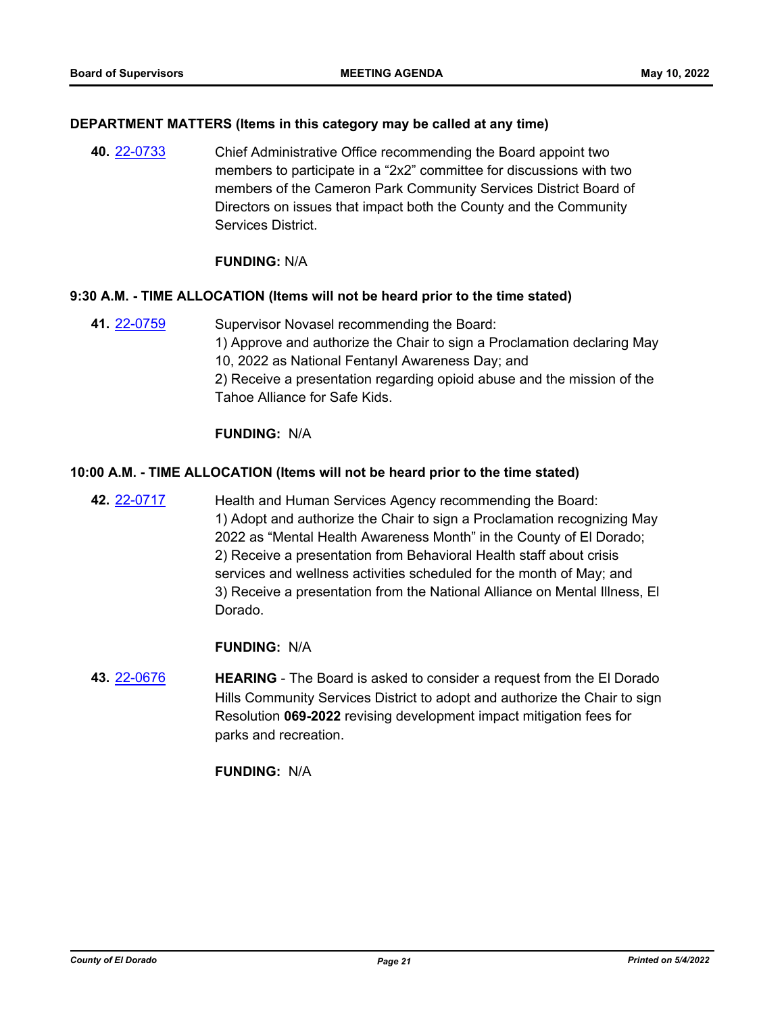#### **DEPARTMENT MATTERS (Items in this category may be called at any time)**

**40.** [22-0733](http://eldorado.legistar.com/gateway.aspx?m=l&id=/matter.aspx?key=31634) Chief Administrative Office recommending the Board appoint two members to participate in a "2x2" committee for discussions with two members of the Cameron Park Community Services District Board of Directors on issues that impact both the County and the Community Services District.

#### **FUNDING:** N/A

## **9:30 A.M. - TIME ALLOCATION (Items will not be heard prior to the time stated)**

**41.** [22-0759](http://eldorado.legistar.com/gateway.aspx?m=l&id=/matter.aspx?key=31660) Supervisor Novasel recommending the Board: 1) Approve and authorize the Chair to sign a Proclamation declaring May 10, 2022 as National Fentanyl Awareness Day; and 2) Receive a presentation regarding opioid abuse and the mission of the Tahoe Alliance for Safe Kids.

## **FUNDING:** N/A

## **10:00 A.M. - TIME ALLOCATION (Items will not be heard prior to the time stated)**

**42.** [22-0717](http://eldorado.legistar.com/gateway.aspx?m=l&id=/matter.aspx?key=31618) Health and Human Services Agency recommending the Board: 1) Adopt and authorize the Chair to sign a Proclamation recognizing May 2022 as "Mental Health Awareness Month" in the County of El Dorado; 2) Receive a presentation from Behavioral Health staff about crisis services and wellness activities scheduled for the month of May; and 3) Receive a presentation from the National Alliance on Mental Illness, El Dorado.

# **FUNDING:** N/A

**43.** [22-0676](http://eldorado.legistar.com/gateway.aspx?m=l&id=/matter.aspx?key=31577) **HEARING** - The Board is asked to consider a request from the El Dorado Hills Community Services District to adopt and authorize the Chair to sign Resolution **069-2022** revising development impact mitigation fees for parks and recreation.

# **FUNDING:** N/A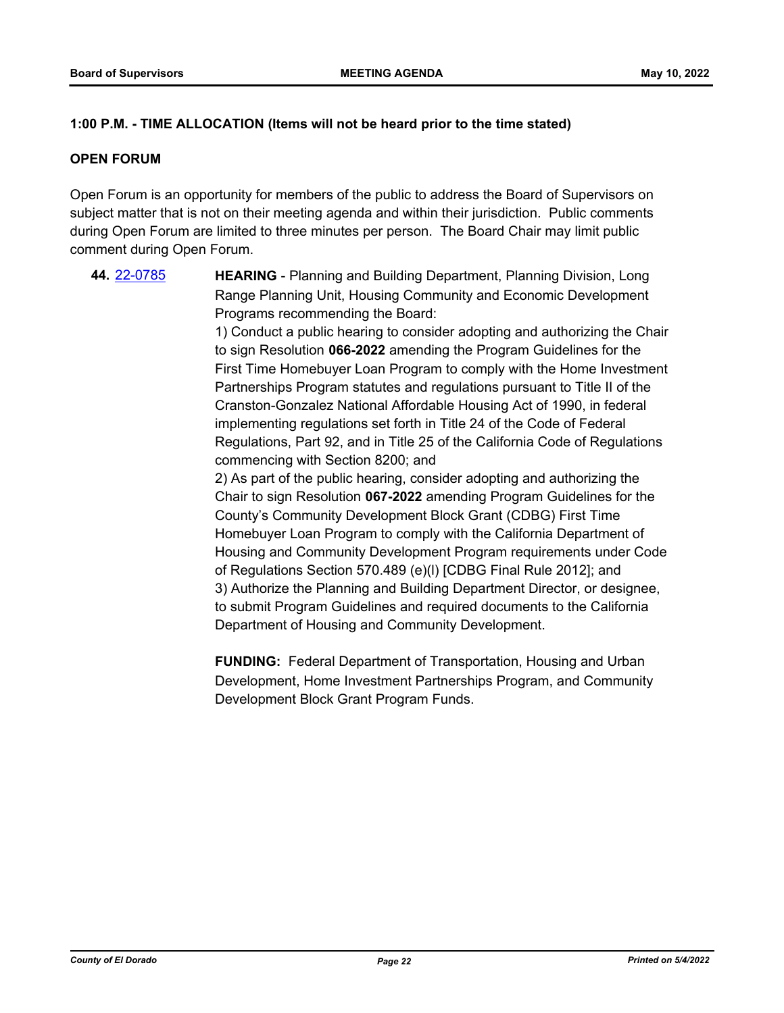# **1:00 P.M. - TIME ALLOCATION (Items will not be heard prior to the time stated)**

## **OPEN FORUM**

Open Forum is an opportunity for members of the public to address the Board of Supervisors on subject matter that is not on their meeting agenda and within their jurisdiction. Public comments during Open Forum are limited to three minutes per person. The Board Chair may limit public comment during Open Forum.

**44.** [22-0785](http://eldorado.legistar.com/gateway.aspx?m=l&id=/matter.aspx?key=31686) **HEARING** - Planning and Building Department, Planning Division, Long Range Planning Unit, Housing Community and Economic Development Programs recommending the Board: 1) Conduct a public hearing to consider adopting and authorizing the Chair to sign Resolution **066-2022** amending the Program Guidelines for the First Time Homebuyer Loan Program to comply with the Home Investment Partnerships Program statutes and regulations pursuant to Title II of the Cranston-Gonzalez National Affordable Housing Act of 1990, in federal implementing regulations set forth in Title 24 of the Code of Federal Regulations, Part 92, and in Title 25 of the California Code of Regulations commencing with Section 8200; and 2) As part of the public hearing, consider adopting and authorizing the Chair to sign Resolution **067-2022** amending Program Guidelines for the County's Community Development Block Grant (CDBG) First Time Homebuyer Loan Program to comply with the California Department of Housing and Community Development Program requirements under Code of Regulations Section 570.489 (e)(l) [CDBG Final Rule 2012]; and 3) Authorize the Planning and Building Department Director, or designee, to submit Program Guidelines and required documents to the California Department of Housing and Community Development.

> **FUNDING:** Federal Department of Transportation, Housing and Urban Development, Home Investment Partnerships Program, and Community Development Block Grant Program Funds.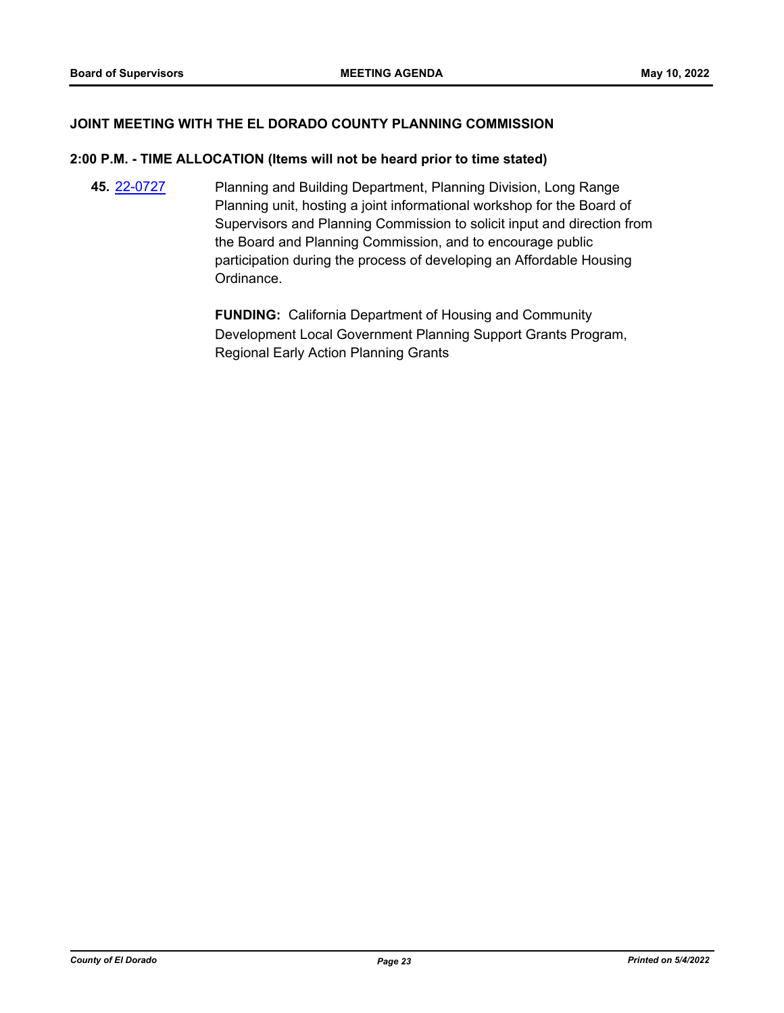## **JOINT MEETING WITH THE EL DORADO COUNTY PLANNING COMMISSION**

#### **2:00 P.M. - TIME ALLOCATION (Items will not be heard prior to time stated)**

**45.** [22-0727](http://eldorado.legistar.com/gateway.aspx?m=l&id=/matter.aspx?key=31628) Planning and Building Department, Planning Division, Long Range Planning unit, hosting a joint informational workshop for the Board of Supervisors and Planning Commission to solicit input and direction from the Board and Planning Commission, and to encourage public participation during the process of developing an Affordable Housing Ordinance.

> **FUNDING:** California Department of Housing and Community Development Local Government Planning Support Grants Program, Regional Early Action Planning Grants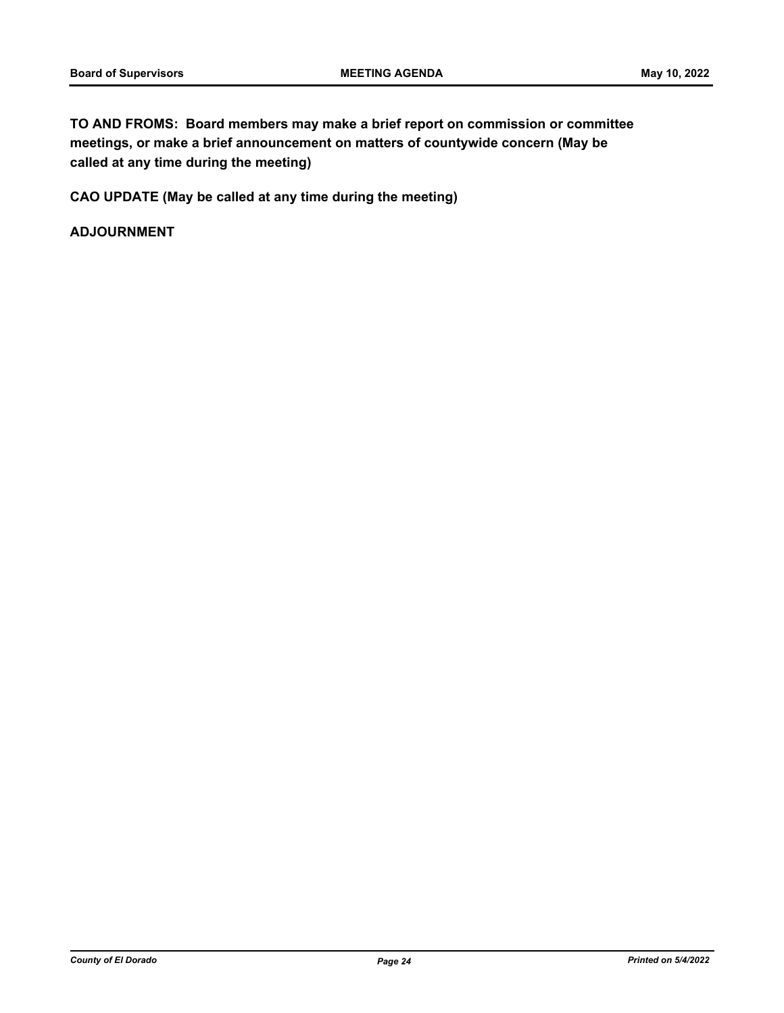**TO AND FROMS: Board members may make a brief report on commission or committee meetings, or make a brief announcement on matters of countywide concern (May be called at any time during the meeting)**

**CAO UPDATE (May be called at any time during the meeting)**

**ADJOURNMENT**